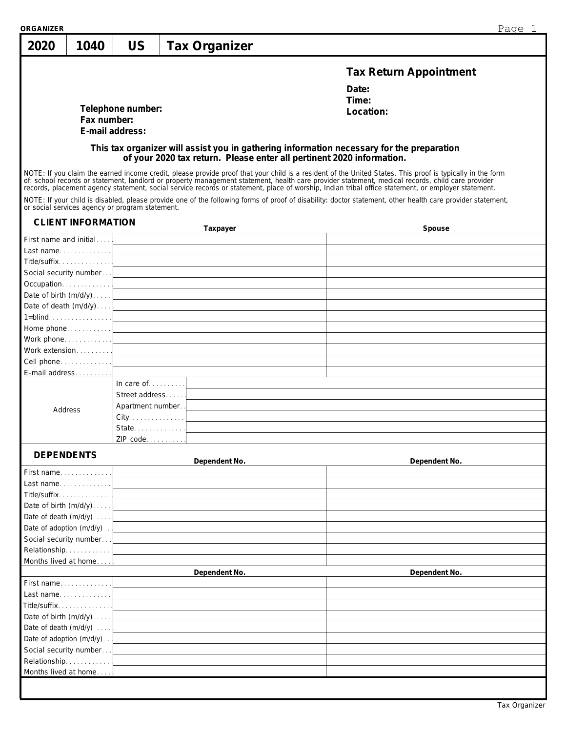| ORGANIZER         |                           |                                                 |                                                                                                                                                                                                                               | Page 1                                                                                                                                                                                                                                                                                                                                                                                      |
|-------------------|---------------------------|-------------------------------------------------|-------------------------------------------------------------------------------------------------------------------------------------------------------------------------------------------------------------------------------|---------------------------------------------------------------------------------------------------------------------------------------------------------------------------------------------------------------------------------------------------------------------------------------------------------------------------------------------------------------------------------------------|
| 2020              | 1040                      | US                                              | <b>Tax Organizer</b>                                                                                                                                                                                                          |                                                                                                                                                                                                                                                                                                                                                                                             |
|                   |                           |                                                 |                                                                                                                                                                                                                               | <b>Tax Return Appointment</b>                                                                                                                                                                                                                                                                                                                                                               |
|                   |                           |                                                 |                                                                                                                                                                                                                               | Date:                                                                                                                                                                                                                                                                                                                                                                                       |
|                   |                           | Telephone number:                               |                                                                                                                                                                                                                               | Time:                                                                                                                                                                                                                                                                                                                                                                                       |
|                   | Fax number:               |                                                 |                                                                                                                                                                                                                               | Location:                                                                                                                                                                                                                                                                                                                                                                                   |
|                   |                           | E-mail address:                                 |                                                                                                                                                                                                                               |                                                                                                                                                                                                                                                                                                                                                                                             |
|                   |                           |                                                 |                                                                                                                                                                                                                               | This tax organizer will assist you in gathering information necessary for the preparation                                                                                                                                                                                                                                                                                                   |
|                   |                           |                                                 | of your 2020 tax return. Please enter all pertinent 2020 information.                                                                                                                                                         |                                                                                                                                                                                                                                                                                                                                                                                             |
|                   |                           |                                                 |                                                                                                                                                                                                                               | NOTE: If you claim the earned income credit, please provide proof that your child is a resident of the United States. This proof is typically in the form<br>of: school records or statement, landlord or property management statement, health care provider statement, medical records, child care provider records, placement agency statement, social service records or statement, pla |
|                   |                           | or social services agency or program statement. |                                                                                                                                                                                                                               | NOTE: If your child is disabled, please provide one of the following forms of proof of disability: doctor statement, other health care provider statement,                                                                                                                                                                                                                                  |
|                   | <b>CLIENT INFORMATION</b> |                                                 | Taxpayer                                                                                                                                                                                                                      | Spouse<br><u> 1989 - Johann Stein, marwolaethau a bhann an t-Amhair an t-Amhair an t-Amhair an t-Amhair an t-Amhair an t-A</u>                                                                                                                                                                                                                                                              |
|                   | First name and initial    |                                                 | the control of the control of the control of the control of the control of the control of                                                                                                                                     |                                                                                                                                                                                                                                                                                                                                                                                             |
|                   |                           |                                                 |                                                                                                                                                                                                                               |                                                                                                                                                                                                                                                                                                                                                                                             |
|                   | Title/suffix              |                                                 |                                                                                                                                                                                                                               |                                                                                                                                                                                                                                                                                                                                                                                             |
|                   | Social security number    |                                                 | the control of the control of the control of the control of the control of the control of the control of the control of the control of the control of the control of the control of the control of the control of the control |                                                                                                                                                                                                                                                                                                                                                                                             |
|                   | Occupation                |                                                 | the control of the control of the control of the control of the control of the control of the control of the control of the control of the control of the control of the control of the control of the control of the control |                                                                                                                                                                                                                                                                                                                                                                                             |
|                   | Date of birth (m/d/y)     |                                                 | the control of the control of the control of the control of the control of the control of the control of the control of the control of the control of the control of the control of the control of the control of the control |                                                                                                                                                                                                                                                                                                                                                                                             |
|                   |                           |                                                 | Date of death $(m/d/y) \ldots$                                                                                                                                                                                                |                                                                                                                                                                                                                                                                                                                                                                                             |
|                   | $1 = \text{blind}$        |                                                 | the control of the control of the control of the control of the control of the control of the control of the control of the control of the control of the control of the control of the control of the control of the control |                                                                                                                                                                                                                                                                                                                                                                                             |
|                   | Home phone                |                                                 | <u> 1989 - Johann Stein, mars an deutscher Stein und der Stein und der Stein und der Stein und der Stein und der</u>                                                                                                          |                                                                                                                                                                                                                                                                                                                                                                                             |
|                   |                           |                                                 | Work phone. $\frac{1}{2}$ $\frac{1}{2}$ $\frac{1}{2}$ $\frac{1}{2}$ $\frac{1}{2}$ $\frac{1}{2}$ $\frac{1}{2}$ $\frac{1}{2}$ $\frac{1}{2}$ $\frac{1}{2}$ $\frac{1}{2}$ $\frac{1}{2}$ $\frac{1}{2}$ $\frac{1}{2}$ $\frac{1}{2}$ |                                                                                                                                                                                                                                                                                                                                                                                             |
|                   | Work extension            |                                                 | the control of the control of the control of the control of the control of the control of the control of the control of the control of the control of the control of the control of the control of the control of the control |                                                                                                                                                                                                                                                                                                                                                                                             |
|                   |                           |                                                 |                                                                                                                                                                                                                               |                                                                                                                                                                                                                                                                                                                                                                                             |
|                   | E-mail address            |                                                 |                                                                                                                                                                                                                               |                                                                                                                                                                                                                                                                                                                                                                                             |
|                   |                           | In care of $\dots$                              | and the control of the control of the control of the control of the control of the control of the control of the                                                                                                              |                                                                                                                                                                                                                                                                                                                                                                                             |
|                   |                           | Street address                                  |                                                                                                                                                                                                                               |                                                                                                                                                                                                                                                                                                                                                                                             |
|                   | Address                   | Apartment number                                |                                                                                                                                                                                                                               |                                                                                                                                                                                                                                                                                                                                                                                             |
|                   |                           | $City. \ldots \ldots \ldots \ldots$             |                                                                                                                                                                                                                               |                                                                                                                                                                                                                                                                                                                                                                                             |
|                   |                           | State                                           |                                                                                                                                                                                                                               |                                                                                                                                                                                                                                                                                                                                                                                             |
|                   |                           | ZIP code                                        |                                                                                                                                                                                                                               |                                                                                                                                                                                                                                                                                                                                                                                             |
| <b>DEPENDENTS</b> |                           |                                                 |                                                                                                                                                                                                                               |                                                                                                                                                                                                                                                                                                                                                                                             |
|                   |                           |                                                 | Dependent No.                                                                                                                                                                                                                 | Dependent No.                                                                                                                                                                                                                                                                                                                                                                               |
|                   | First name                |                                                 |                                                                                                                                                                                                                               |                                                                                                                                                                                                                                                                                                                                                                                             |
|                   | Last name                 |                                                 |                                                                                                                                                                                                                               |                                                                                                                                                                                                                                                                                                                                                                                             |
|                   | Title/suffix              |                                                 |                                                                                                                                                                                                                               |                                                                                                                                                                                                                                                                                                                                                                                             |
|                   | Date of birth $(m/d/y)$   |                                                 |                                                                                                                                                                                                                               |                                                                                                                                                                                                                                                                                                                                                                                             |
|                   | Date of death (m/d/y)     |                                                 |                                                                                                                                                                                                                               |                                                                                                                                                                                                                                                                                                                                                                                             |
|                   | Date of adoption (m/d/y). |                                                 |                                                                                                                                                                                                                               |                                                                                                                                                                                                                                                                                                                                                                                             |
|                   | Social security number    |                                                 |                                                                                                                                                                                                                               |                                                                                                                                                                                                                                                                                                                                                                                             |
|                   | Relationship              |                                                 |                                                                                                                                                                                                                               |                                                                                                                                                                                                                                                                                                                                                                                             |
|                   | Months lived at home      |                                                 |                                                                                                                                                                                                                               |                                                                                                                                                                                                                                                                                                                                                                                             |
|                   |                           |                                                 | Dependent No.                                                                                                                                                                                                                 | Dependent No.                                                                                                                                                                                                                                                                                                                                                                               |
|                   | First name                |                                                 |                                                                                                                                                                                                                               |                                                                                                                                                                                                                                                                                                                                                                                             |
|                   | Last name                 |                                                 |                                                                                                                                                                                                                               |                                                                                                                                                                                                                                                                                                                                                                                             |
|                   | Title/suffix              |                                                 |                                                                                                                                                                                                                               |                                                                                                                                                                                                                                                                                                                                                                                             |
|                   | Date of birth $(m/d/y)$   |                                                 |                                                                                                                                                                                                                               |                                                                                                                                                                                                                                                                                                                                                                                             |
|                   | Date of death (m/d/y)     |                                                 |                                                                                                                                                                                                                               |                                                                                                                                                                                                                                                                                                                                                                                             |
|                   | Date of adoption (m/d/y). |                                                 |                                                                                                                                                                                                                               |                                                                                                                                                                                                                                                                                                                                                                                             |
|                   | Social security number    |                                                 |                                                                                                                                                                                                                               |                                                                                                                                                                                                                                                                                                                                                                                             |
|                   | Relationship              |                                                 |                                                                                                                                                                                                                               |                                                                                                                                                                                                                                                                                                                                                                                             |
|                   | Months lived at home      |                                                 |                                                                                                                                                                                                                               |                                                                                                                                                                                                                                                                                                                                                                                             |
|                   |                           |                                                 |                                                                                                                                                                                                                               |                                                                                                                                                                                                                                                                                                                                                                                             |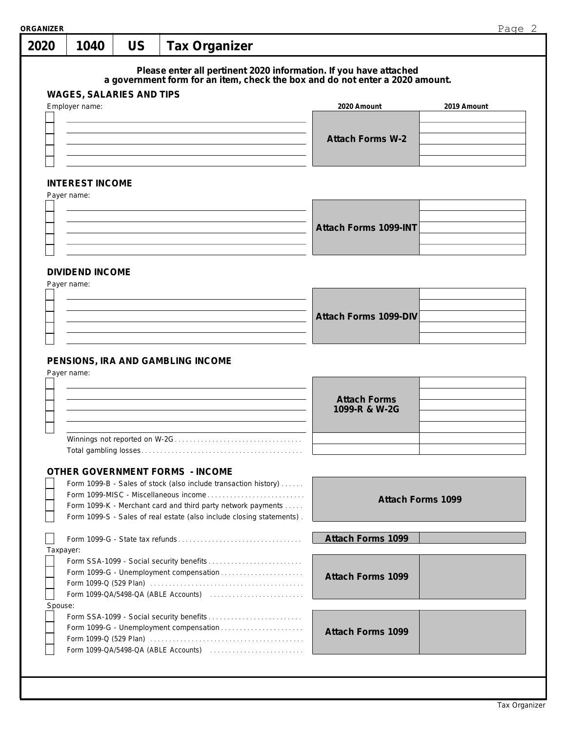| 2020      |                                            |           |                                                                                                                                                   |                                      | Page 2      |
|-----------|--------------------------------------------|-----------|---------------------------------------------------------------------------------------------------------------------------------------------------|--------------------------------------|-------------|
|           | 1040                                       | <b>US</b> | <b>Tax Organizer</b>                                                                                                                              |                                      |             |
|           |                                            |           | Please enter all pertinent 2020 information. If you have attached<br>a government form for an item, check the box and do not enter a 2020 amount. |                                      |             |
|           | WAGES, SALARIES AND TIPS<br>Employer name: |           |                                                                                                                                                   | 2020 Amount                          | 2019 Amount |
|           |                                            |           |                                                                                                                                                   |                                      |             |
|           |                                            |           |                                                                                                                                                   | <b>Attach Forms W-2</b>              |             |
|           |                                            |           |                                                                                                                                                   |                                      |             |
|           |                                            |           |                                                                                                                                                   |                                      |             |
|           | <b>INTEREST INCOME</b><br>Payer name:      |           |                                                                                                                                                   |                                      |             |
|           |                                            |           |                                                                                                                                                   |                                      |             |
|           |                                            |           |                                                                                                                                                   | Attach Forms 1099-INT                |             |
|           |                                            |           |                                                                                                                                                   |                                      |             |
|           |                                            |           |                                                                                                                                                   |                                      |             |
|           | <b>DIVIDEND INCOME</b><br>Payer name:      |           |                                                                                                                                                   |                                      |             |
|           |                                            |           |                                                                                                                                                   |                                      |             |
|           |                                            |           |                                                                                                                                                   | Attach Forms 1099-DIV                |             |
|           |                                            |           |                                                                                                                                                   |                                      |             |
|           |                                            |           |                                                                                                                                                   |                                      |             |
|           | Payer name:                                |           | PENSIONS, IRA AND GAMBLING INCOME                                                                                                                 |                                      |             |
|           |                                            |           |                                                                                                                                                   |                                      |             |
|           |                                            |           |                                                                                                                                                   | <b>Attach Forms</b><br>1099-R & W-2G |             |
|           |                                            |           |                                                                                                                                                   |                                      |             |
|           |                                            |           |                                                                                                                                                   |                                      |             |
|           |                                            |           |                                                                                                                                                   |                                      |             |
|           |                                            |           |                                                                                                                                                   |                                      |             |
|           |                                            |           | OTHER GOVERNMENT FORMS - INCOME                                                                                                                   |                                      |             |
|           |                                            |           | Form 1099-B - Sales of stock (also include transaction history)<br>Form 1099-MISC - Miscellaneous income                                          |                                      |             |
|           |                                            |           | Form 1099-K - Merchant card and third party network payments                                                                                      | Attach Forms 1099                    |             |
|           |                                            |           | Form 1099-S - Sales of real estate (also include closing statements).                                                                             |                                      |             |
|           |                                            |           |                                                                                                                                                   | Attach Forms 1099                    |             |
| Taxpayer: |                                            |           |                                                                                                                                                   |                                      |             |
|           |                                            |           | Form 1099-G - Unemployment compensation                                                                                                           | Attach Forms 1099                    |             |
|           |                                            |           |                                                                                                                                                   |                                      |             |
| Spouse:   |                                            |           |                                                                                                                                                   |                                      |             |
|           |                                            |           | Form 1099-G - Unemployment compensation                                                                                                           |                                      |             |
|           |                                            |           |                                                                                                                                                   | Attach Forms 1099                    |             |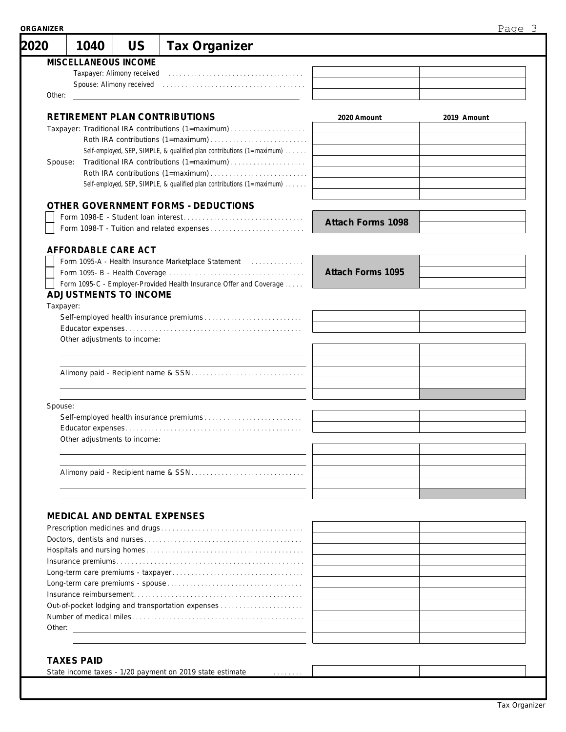| 2020      | 1040                         | US                         | <b>Tax Organizer</b>                                                                                                |                          |             |
|-----------|------------------------------|----------------------------|---------------------------------------------------------------------------------------------------------------------|--------------------------|-------------|
|           | MISCELLANEOUS INCOME         |                            |                                                                                                                     |                          |             |
|           |                              | Taxpayer: Alimony received |                                                                                                                     |                          |             |
|           |                              | Spouse: Alimony received   |                                                                                                                     |                          |             |
| Other:    |                              |                            |                                                                                                                     |                          |             |
|           |                              |                            |                                                                                                                     |                          |             |
|           |                              |                            | RETIREMENT PLAN CONTRIBUTIONS                                                                                       | 2020 Amount              | 2019 Amount |
|           |                              |                            | Taxpayer: Traditional IRA contributions (1=maximum)                                                                 |                          |             |
|           |                              |                            |                                                                                                                     |                          |             |
|           |                              |                            | Self-employed, SEP, SIMPLE, & qualified plan contributions (1=maximum)                                              |                          |             |
| Spouse:   |                              |                            |                                                                                                                     |                          |             |
|           |                              |                            | Roth IRA contributions (1=maximum)                                                                                  |                          |             |
|           |                              |                            | Self-employed, SEP, SIMPLE, & qualified plan contributions (1=maximum)                                              |                          |             |
|           |                              |                            |                                                                                                                     |                          |             |
|           |                              |                            | OTHER GOVERNMENT FORMS - DEDUCTIONS                                                                                 |                          |             |
|           |                              |                            |                                                                                                                     | <b>Attach Forms 1098</b> |             |
|           |                              |                            |                                                                                                                     |                          |             |
|           |                              |                            |                                                                                                                     |                          |             |
|           | AFFORDABLE CARE ACT          |                            |                                                                                                                     |                          |             |
|           |                              |                            | Form 1095-A - Health Insurance Marketplace Statement [11] [11] Form 1095-A - Health Insurance Marketplace Statement |                          |             |
|           |                              |                            |                                                                                                                     | Attach Forms 1095        |             |
|           |                              |                            | Form 1095-C - Employer-Provided Health Insurance Offer and Coverage                                                 |                          |             |
|           | ADJUSTMENTS TO INCOME        |                            |                                                                                                                     |                          |             |
| Taxpayer: |                              |                            |                                                                                                                     |                          |             |
|           |                              |                            |                                                                                                                     |                          |             |
|           |                              |                            |                                                                                                                     |                          |             |
|           | Other adjustments to income: |                            |                                                                                                                     |                          |             |
|           |                              |                            |                                                                                                                     |                          |             |
|           |                              |                            |                                                                                                                     |                          |             |
|           |                              |                            |                                                                                                                     |                          |             |
|           |                              |                            |                                                                                                                     |                          |             |
| Spouse:   |                              |                            |                                                                                                                     |                          |             |
|           |                              |                            |                                                                                                                     |                          |             |
|           |                              |                            |                                                                                                                     |                          |             |
|           |                              |                            | Other adjustments to income:                                                                                        |                          |             |
|           |                              |                            |                                                                                                                     |                          |             |
|           |                              |                            |                                                                                                                     |                          |             |
|           |                              |                            |                                                                                                                     |                          |             |
|           |                              |                            |                                                                                                                     |                          |             |
|           |                              |                            |                                                                                                                     |                          |             |
|           | MEDICAL AND DENTAL EXPENSES  |                            |                                                                                                                     |                          |             |
|           |                              |                            |                                                                                                                     |                          |             |
|           |                              |                            |                                                                                                                     |                          |             |
|           |                              |                            |                                                                                                                     |                          |             |
|           |                              |                            |                                                                                                                     |                          |             |
|           |                              |                            |                                                                                                                     |                          |             |
|           |                              |                            |                                                                                                                     |                          |             |
|           |                              |                            |                                                                                                                     |                          |             |
|           |                              |                            | Out-of-pocket lodging and transportation expenses                                                                   |                          |             |
|           |                              |                            |                                                                                                                     |                          |             |
|           |                              |                            |                                                                                                                     |                          |             |
|           |                              |                            |                                                                                                                     |                          |             |
|           | <b>TAXES PAID</b>            |                            |                                                                                                                     |                          |             |
|           |                              |                            |                                                                                                                     |                          |             |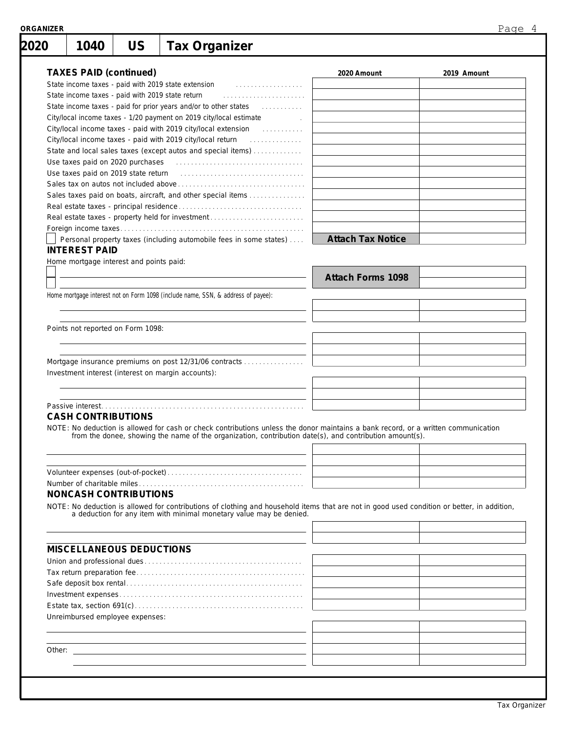| 2020 | 1040                          | <b>US</b>                                        | <b>Tax Organizer</b>                                                                                                                                                                                            |                          |             |
|------|-------------------------------|--------------------------------------------------|-----------------------------------------------------------------------------------------------------------------------------------------------------------------------------------------------------------------|--------------------------|-------------|
|      |                               |                                                  |                                                                                                                                                                                                                 |                          |             |
|      | <b>TAXES PAID (continued)</b> |                                                  |                                                                                                                                                                                                                 | 2020 Amount              | 2019 Amount |
|      |                               |                                                  | State income taxes - paid with 2019 state extension<br>.                                                                                                                                                        |                          |             |
|      |                               | State income taxes - paid with 2019 state return |                                                                                                                                                                                                                 |                          |             |
|      |                               |                                                  | State income taxes - paid for prior years and/or to other states<br>.                                                                                                                                           |                          |             |
|      |                               |                                                  | City/local income taxes - 1/20 payment on 2019 city/local estimate                                                                                                                                              |                          |             |
|      |                               |                                                  | City/local income taxes - paid with 2019 city/local extension [11]                                                                                                                                              |                          |             |
|      |                               |                                                  |                                                                                                                                                                                                                 |                          |             |
|      |                               |                                                  | State and local sales taxes (except autos and special items)                                                                                                                                                    |                          |             |
|      |                               |                                                  |                                                                                                                                                                                                                 |                          |             |
|      |                               |                                                  |                                                                                                                                                                                                                 |                          |             |
|      |                               |                                                  |                                                                                                                                                                                                                 |                          |             |
|      |                               |                                                  | Sales taxes paid on boats, aircraft, and other special items                                                                                                                                                    |                          |             |
|      |                               |                                                  |                                                                                                                                                                                                                 |                          |             |
|      |                               |                                                  | Real estate taxes - property held for investment                                                                                                                                                                |                          |             |
|      |                               |                                                  |                                                                                                                                                                                                                 |                          |             |
|      |                               |                                                  | Personal property taxes (including automobile fees in some states)                                                                                                                                              | <b>Attach Tax Notice</b> |             |
|      | <b>INTEREST PAID</b>          |                                                  |                                                                                                                                                                                                                 |                          |             |
|      |                               | Home mortgage interest and points paid:          |                                                                                                                                                                                                                 |                          |             |
|      |                               |                                                  |                                                                                                                                                                                                                 | Attach Forms 1098        |             |
|      |                               |                                                  | Home mortgage interest not on Form 1098 (include name, SSN, & address of payee):                                                                                                                                |                          |             |
|      |                               |                                                  |                                                                                                                                                                                                                 |                          |             |
|      |                               |                                                  |                                                                                                                                                                                                                 |                          |             |
|      |                               | Points not reported on Form 1098:                |                                                                                                                                                                                                                 |                          |             |
|      |                               |                                                  |                                                                                                                                                                                                                 |                          |             |
|      |                               |                                                  |                                                                                                                                                                                                                 |                          |             |
|      |                               |                                                  |                                                                                                                                                                                                                 |                          |             |
|      |                               |                                                  | Mortgage insurance premiums on post 12/31/06 contracts<br>Investment interest (interest on margin accounts):                                                                                                    |                          |             |
|      |                               |                                                  |                                                                                                                                                                                                                 |                          |             |
|      |                               |                                                  |                                                                                                                                                                                                                 |                          |             |
|      | <b>CASH CONTRIBUTIONS</b>     |                                                  | NOTE: No deduction is allowed for cash or check contributions unless the donor maintains a bank record, or a written communication                                                                              |                          |             |
|      |                               |                                                  | from the donee, showing the name of the organization, contribution date(s), and contribution amount(s).                                                                                                         |                          |             |
|      |                               |                                                  |                                                                                                                                                                                                                 |                          |             |
|      |                               |                                                  |                                                                                                                                                                                                                 |                          |             |
|      |                               |                                                  |                                                                                                                                                                                                                 |                          |             |
|      |                               | NONCASH CONTRIBUTIONS                            |                                                                                                                                                                                                                 |                          |             |
|      |                               |                                                  |                                                                                                                                                                                                                 |                          |             |
|      |                               |                                                  | NOTE: No deduction is allowed for contributions of clothing and household items that are not in good used condition or better, in addition, a deduction for any item with minimal monetary value may be denied. |                          |             |
|      |                               |                                                  |                                                                                                                                                                                                                 |                          |             |
|      |                               | MISCELLANEOUS DEDUCTIONS                         |                                                                                                                                                                                                                 |                          |             |
|      |                               |                                                  |                                                                                                                                                                                                                 |                          |             |
|      |                               |                                                  |                                                                                                                                                                                                                 |                          |             |
|      |                               |                                                  |                                                                                                                                                                                                                 |                          |             |
|      |                               |                                                  |                                                                                                                                                                                                                 |                          |             |
|      |                               |                                                  |                                                                                                                                                                                                                 |                          |             |
|      |                               | Unreimbursed employee expenses:                  |                                                                                                                                                                                                                 |                          |             |
|      |                               |                                                  |                                                                                                                                                                                                                 |                          |             |
|      |                               |                                                  |                                                                                                                                                                                                                 |                          |             |
|      |                               |                                                  |                                                                                                                                                                                                                 |                          |             |
|      |                               |                                                  |                                                                                                                                                                                                                 |                          |             |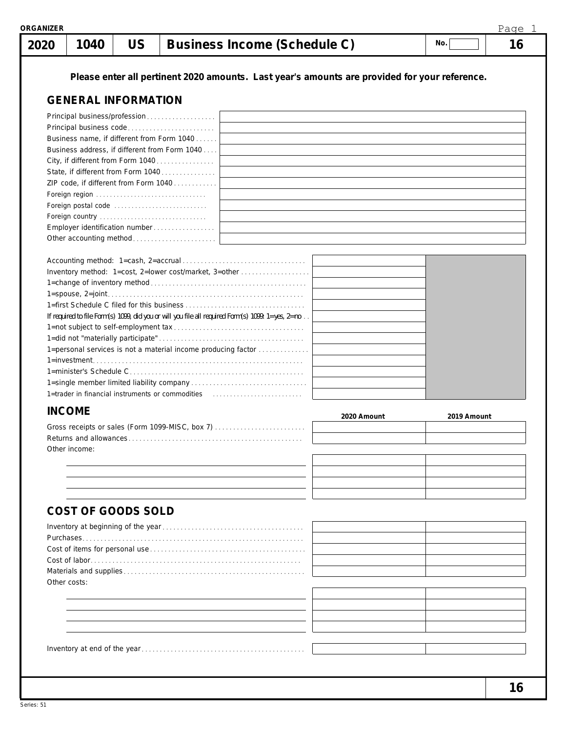| 2020          | 1040                       | <b>US</b> |                                                                         | <b>Business Income (Schedule C)</b>                                                               |             | No.         | 16 |
|---------------|----------------------------|-----------|-------------------------------------------------------------------------|---------------------------------------------------------------------------------------------------|-------------|-------------|----|
|               |                            |           |                                                                         | Please enter all pertinent 2020 amounts. Last year's amounts are provided for your reference.     |             |             |    |
|               | <b>GENERAL INFORMATION</b> |           |                                                                         |                                                                                                   |             |             |    |
|               |                            |           | Principal business/profession                                           |                                                                                                   |             |             |    |
|               |                            |           |                                                                         |                                                                                                   |             |             |    |
|               |                            |           | Business name, if different from Form 1040                              |                                                                                                   |             |             |    |
|               |                            |           | Business address, if different from Form 1040                           |                                                                                                   |             |             |    |
|               |                            |           | City, if different from Form 1040<br>State, if different from Form 1040 |                                                                                                   |             |             |    |
|               |                            |           | ZIP code, if different from Form 1040                                   |                                                                                                   |             |             |    |
|               |                            |           | Foreign region                                                          |                                                                                                   |             |             |    |
|               |                            |           | Foreign postal code                                                     |                                                                                                   |             |             |    |
|               |                            |           |                                                                         |                                                                                                   |             |             |    |
|               |                            |           | Employer identification number                                          |                                                                                                   |             |             |    |
|               |                            |           | Other accounting method                                                 |                                                                                                   |             |             |    |
|               |                            |           |                                                                         |                                                                                                   |             |             |    |
|               |                            |           |                                                                         | Inventory method: 1=cost, 2=lower cost/market, 3=other                                            |             |             |    |
|               |                            |           |                                                                         |                                                                                                   |             |             |    |
|               |                            |           |                                                                         |                                                                                                   |             |             |    |
|               |                            |           |                                                                         |                                                                                                   |             |             |    |
|               |                            |           |                                                                         | If required to file Form(s) 1099, did you or will you file all required Form(s) 1099: 1=yes, 2=no |             |             |    |
|               |                            |           |                                                                         |                                                                                                   |             |             |    |
|               |                            |           |                                                                         | 1=personal services is not a material income producing factor                                     |             |             |    |
|               |                            |           |                                                                         |                                                                                                   |             |             |    |
|               |                            |           |                                                                         |                                                                                                   |             |             |    |
|               |                            |           |                                                                         |                                                                                                   |             |             |    |
|               |                            |           |                                                                         |                                                                                                   |             |             |    |
| <b>INCOME</b> |                            |           |                                                                         |                                                                                                   | 2020 Amount | 2019 Amount |    |
|               |                            |           |                                                                         | Gross receipts or sales (Form 1099-MISC, box 7)                                                   |             |             |    |
|               |                            |           |                                                                         |                                                                                                   |             |             |    |
|               | Other income:              |           |                                                                         |                                                                                                   |             |             |    |
|               |                            |           |                                                                         |                                                                                                   |             |             |    |
|               |                            |           |                                                                         |                                                                                                   |             |             |    |
|               |                            |           |                                                                         |                                                                                                   |             |             |    |
|               |                            |           |                                                                         |                                                                                                   |             |             |    |
|               | <b>COST OF GOODS SOLD</b>  |           |                                                                         |                                                                                                   |             |             |    |
|               |                            |           |                                                                         |                                                                                                   |             |             |    |
|               |                            |           |                                                                         |                                                                                                   |             |             |    |
|               |                            |           |                                                                         |                                                                                                   |             |             |    |
|               |                            |           |                                                                         |                                                                                                   |             |             |    |
| Other costs:  |                            |           |                                                                         |                                                                                                   |             |             |    |
|               |                            |           |                                                                         |                                                                                                   |             |             |    |
|               |                            |           |                                                                         |                                                                                                   |             |             |    |
|               |                            |           |                                                                         |                                                                                                   |             |             |    |
|               |                            |           |                                                                         |                                                                                                   |             |             |    |
|               |                            |           |                                                                         |                                                                                                   |             |             |    |
|               |                            |           |                                                                         |                                                                                                   |             |             |    |
|               |                            |           |                                                                         |                                                                                                   |             |             |    |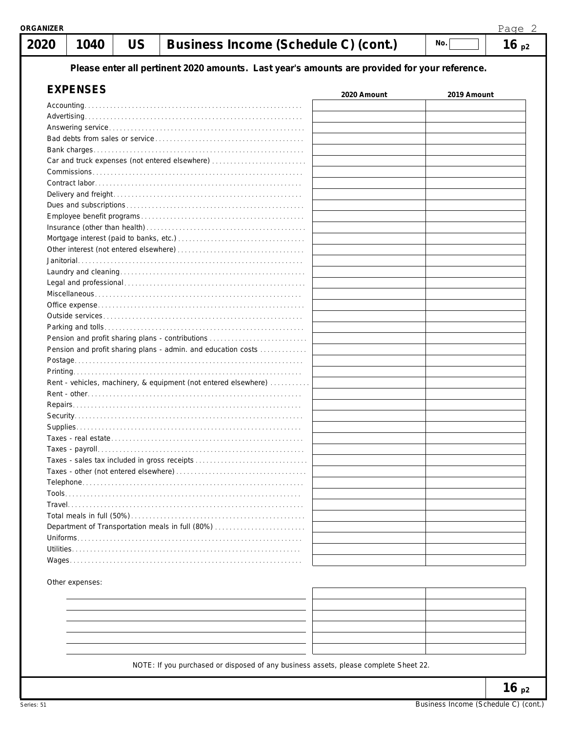| 20 | 1040            | US | Business Income (Schedule C) (cont.)                                                                              |             | No.         | 16p2 |
|----|-----------------|----|-------------------------------------------------------------------------------------------------------------------|-------------|-------------|------|
|    |                 |    | Please enter all pertinent 2020 amounts. Last year's amounts are provided for your reference.                     |             |             |      |
|    | <b>EXPENSES</b> |    |                                                                                                                   | 2020 Amount | 2019 Amount |      |
|    |                 |    |                                                                                                                   |             |             |      |
|    |                 |    |                                                                                                                   |             |             |      |
|    |                 |    |                                                                                                                   |             |             |      |
|    |                 |    |                                                                                                                   |             |             |      |
|    |                 |    | Car and truck expenses (not entered elsewhere)                                                                    |             |             |      |
|    |                 |    |                                                                                                                   |             |             |      |
|    |                 |    |                                                                                                                   |             |             |      |
|    |                 |    |                                                                                                                   |             |             |      |
|    |                 |    |                                                                                                                   |             |             |      |
|    |                 |    |                                                                                                                   |             |             |      |
|    |                 |    |                                                                                                                   |             |             |      |
|    |                 |    |                                                                                                                   |             |             |      |
|    |                 |    |                                                                                                                   |             |             |      |
|    |                 |    |                                                                                                                   |             |             |      |
|    |                 |    |                                                                                                                   |             |             |      |
|    |                 |    |                                                                                                                   |             |             |      |
|    |                 |    |                                                                                                                   |             |             |      |
|    |                 |    |                                                                                                                   |             |             |      |
|    |                 |    |                                                                                                                   |             |             |      |
|    |                 |    | Pension and profit sharing plans - contributions<br>Pension and profit sharing plans - admin. and education costs |             |             |      |
|    |                 |    |                                                                                                                   |             |             |      |
|    |                 |    |                                                                                                                   |             |             |      |
|    |                 |    | Rent - vehicles, machinery, & equipment (not entered elsewhere)                                                   |             |             |      |
|    |                 |    |                                                                                                                   |             |             |      |
|    |                 |    |                                                                                                                   |             |             |      |
|    |                 |    |                                                                                                                   |             |             |      |
|    |                 |    |                                                                                                                   |             |             |      |
|    |                 |    |                                                                                                                   |             |             |      |
|    |                 |    | Taxes - sales tax included in gross receipts                                                                      |             |             |      |
|    |                 |    |                                                                                                                   |             |             |      |
|    |                 |    |                                                                                                                   |             |             |      |
|    |                 |    |                                                                                                                   |             |             |      |
|    |                 |    |                                                                                                                   |             |             |      |
|    |                 |    |                                                                                                                   |             |             |      |
|    |                 |    | Department of Transportation meals in full (80%)                                                                  |             |             |      |
|    |                 |    |                                                                                                                   |             |             |      |
|    |                 |    |                                                                                                                   |             |             |      |
|    |                 |    |                                                                                                                   |             |             |      |

Other expenses:

| - |  |
|---|--|
|   |  |
|   |  |

NOTE: If you purchased or disposed of any business assets, please complete Sheet 22.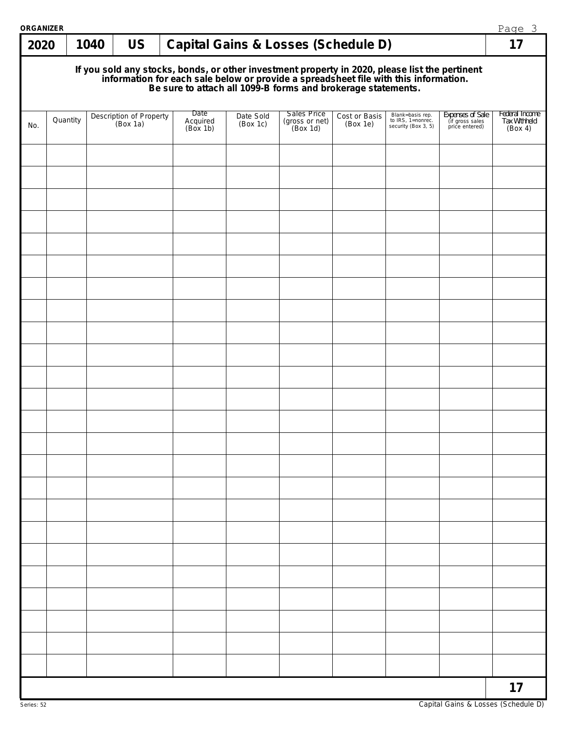| <b>ORGANIZER</b> |                                                                                                                                                                                                                                      |      |                                     |  |                              |                       |                                                      |                           |                                                              |                                                       | Page 3                                    |
|------------------|--------------------------------------------------------------------------------------------------------------------------------------------------------------------------------------------------------------------------------------|------|-------------------------------------|--|------------------------------|-----------------------|------------------------------------------------------|---------------------------|--------------------------------------------------------------|-------------------------------------------------------|-------------------------------------------|
| 2020             |                                                                                                                                                                                                                                      | 1040 | <b>US</b>                           |  |                              |                       | <b>Capital Gains &amp; Losses (Schedule D)</b>       |                           |                                                              |                                                       | 17                                        |
|                  | If you sold any stocks, bonds, or other investment property in 2020, please list the pertinent<br>information for each sale below or provide a spreadsheet file with this information.<br>Be sure to attach all 1099-B forms and bro |      |                                     |  |                              |                       |                                                      |                           |                                                              |                                                       |                                           |
| No.              | Quantity                                                                                                                                                                                                                             |      | Description of Property<br>(Box 1a) |  | Date<br>Acquired<br>(Box 1b) | Date Sold<br>(Box 1c) | <b>Sales Price</b><br>$(gross or net)$<br>$(Box 1d)$ | Cost or Basis<br>(Box 1e) | Blank=basis rep.<br>to IRS, 1=nonrec.<br>security (Box 3, 5) | Expenses of Sale<br>(if gross sales<br>price entered) | Federal Income<br>Tax Withheld<br>(Box 4) |
|                  |                                                                                                                                                                                                                                      |      |                                     |  |                              |                       |                                                      |                           |                                                              |                                                       |                                           |
|                  |                                                                                                                                                                                                                                      |      |                                     |  |                              |                       |                                                      |                           |                                                              |                                                       |                                           |
|                  |                                                                                                                                                                                                                                      |      |                                     |  |                              |                       |                                                      |                           |                                                              |                                                       |                                           |
|                  |                                                                                                                                                                                                                                      |      |                                     |  |                              |                       |                                                      |                           |                                                              |                                                       |                                           |
|                  |                                                                                                                                                                                                                                      |      |                                     |  |                              |                       |                                                      |                           |                                                              |                                                       |                                           |
|                  |                                                                                                                                                                                                                                      |      |                                     |  |                              |                       |                                                      |                           |                                                              |                                                       |                                           |
|                  |                                                                                                                                                                                                                                      |      |                                     |  |                              |                       |                                                      |                           |                                                              |                                                       |                                           |
|                  |                                                                                                                                                                                                                                      |      |                                     |  |                              |                       |                                                      |                           |                                                              |                                                       |                                           |
|                  |                                                                                                                                                                                                                                      |      |                                     |  |                              |                       |                                                      |                           |                                                              |                                                       |                                           |
|                  |                                                                                                                                                                                                                                      |      |                                     |  |                              |                       |                                                      |                           |                                                              |                                                       |                                           |
|                  |                                                                                                                                                                                                                                      |      |                                     |  |                              |                       |                                                      |                           |                                                              |                                                       |                                           |
|                  |                                                                                                                                                                                                                                      |      |                                     |  |                              |                       |                                                      |                           |                                                              |                                                       |                                           |
|                  |                                                                                                                                                                                                                                      |      |                                     |  |                              |                       |                                                      |                           |                                                              |                                                       |                                           |
|                  |                                                                                                                                                                                                                                      |      |                                     |  |                              |                       |                                                      |                           |                                                              |                                                       |                                           |
|                  |                                                                                                                                                                                                                                      |      |                                     |  |                              |                       |                                                      |                           |                                                              |                                                       |                                           |
|                  |                                                                                                                                                                                                                                      |      |                                     |  |                              |                       |                                                      |                           |                                                              |                                                       |                                           |
|                  |                                                                                                                                                                                                                                      |      |                                     |  |                              |                       |                                                      |                           |                                                              |                                                       |                                           |
|                  |                                                                                                                                                                                                                                      |      |                                     |  |                              |                       |                                                      |                           |                                                              |                                                       |                                           |
|                  |                                                                                                                                                                                                                                      |      |                                     |  |                              |                       |                                                      |                           |                                                              |                                                       |                                           |
|                  |                                                                                                                                                                                                                                      |      |                                     |  |                              |                       |                                                      |                           |                                                              |                                                       |                                           |
|                  |                                                                                                                                                                                                                                      |      |                                     |  |                              |                       |                                                      |                           |                                                              |                                                       |                                           |
|                  |                                                                                                                                                                                                                                      |      |                                     |  |                              |                       |                                                      |                           |                                                              |                                                       |                                           |
|                  |                                                                                                                                                                                                                                      |      |                                     |  |                              |                       |                                                      |                           |                                                              |                                                       | 17                                        |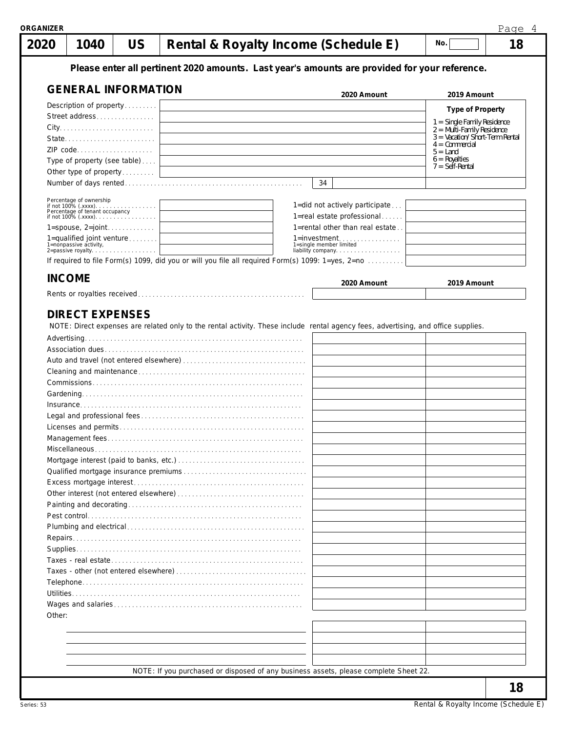| 1040<br>2020                                                           | <b>US</b> | Rental & Royalty Income (Schedule E)                                                                                               |                                              | No.                                                         | 18 |
|------------------------------------------------------------------------|-----------|------------------------------------------------------------------------------------------------------------------------------------|----------------------------------------------|-------------------------------------------------------------|----|
|                                                                        |           | Please enter all pertinent 2020 amounts. Last year's amounts are provided for your reference.                                      |                                              |                                                             |    |
| <b>GENERAL INFORMATION</b>                                             |           |                                                                                                                                    | 2020 Amount                                  | 2019 Amount                                                 |    |
| Description of property                                                |           |                                                                                                                                    |                                              | <b>Type of Property</b>                                     |    |
| Street address                                                         |           |                                                                                                                                    |                                              |                                                             |    |
|                                                                        |           |                                                                                                                                    |                                              | 1 = Single Family Residence<br>$2 =$ Multi-Family Residence |    |
| State                                                                  |           |                                                                                                                                    |                                              | $3 =$ Vacation/Short-Term Rental<br>$4 =$ Commercial        |    |
| ZIP code                                                               |           |                                                                                                                                    |                                              | $5 =$ Land                                                  |    |
| Type of property (see table)                                           |           |                                                                                                                                    |                                              | $6 = \text{Royalties}$<br>$7 = Seif-Rental$                 |    |
| Other type of property                                                 |           |                                                                                                                                    |                                              |                                                             |    |
|                                                                        |           |                                                                                                                                    | 34                                           |                                                             |    |
| Percentage of ownership                                                |           |                                                                                                                                    | 1=did not actively participate               |                                                             |    |
|                                                                        |           |                                                                                                                                    | 1=real estate professional                   |                                                             |    |
|                                                                        |           |                                                                                                                                    | 1=rental other than real estate              |                                                             |    |
| 1=qualified joint venture                                              |           |                                                                                                                                    | $1 =$ investment                             |                                                             |    |
| 1=nonpassive activity,<br>1=nonpassive activity,<br>2=passive royalty. |           |                                                                                                                                    | 1=single member limited<br>liability company |                                                             |    |
|                                                                        |           | If required to file Form(s) 1099, did you or will you file all required Form(s) 1099: 1=yes, 2=no                                  |                                              |                                                             |    |
| <b>INCOME</b>                                                          |           |                                                                                                                                    | 2020 Amount                                  | 2019 Amount                                                 |    |
|                                                                        |           |                                                                                                                                    |                                              |                                                             |    |
| <b>DIRECT EXPENSES</b>                                                 |           | NOTE: Direct expenses are related only to the rental activity. These include rental agency fees, advertising, and office supplies. |                                              |                                                             |    |
|                                                                        |           |                                                                                                                                    |                                              |                                                             |    |
|                                                                        |           |                                                                                                                                    |                                              |                                                             |    |
|                                                                        |           |                                                                                                                                    |                                              |                                                             |    |
|                                                                        |           |                                                                                                                                    |                                              |                                                             |    |
|                                                                        |           |                                                                                                                                    |                                              |                                                             |    |
|                                                                        |           |                                                                                                                                    |                                              |                                                             |    |
|                                                                        |           |                                                                                                                                    |                                              |                                                             |    |
|                                                                        |           |                                                                                                                                    |                                              |                                                             |    |
|                                                                        |           |                                                                                                                                    |                                              |                                                             |    |
|                                                                        |           |                                                                                                                                    |                                              |                                                             |    |
|                                                                        |           |                                                                                                                                    |                                              |                                                             |    |
|                                                                        |           |                                                                                                                                    |                                              |                                                             |    |
|                                                                        |           |                                                                                                                                    |                                              |                                                             |    |
|                                                                        |           |                                                                                                                                    |                                              |                                                             |    |
|                                                                        |           |                                                                                                                                    |                                              |                                                             |    |
|                                                                        |           |                                                                                                                                    |                                              |                                                             |    |
| Other:                                                                 |           |                                                                                                                                    |                                              |                                                             |    |
|                                                                        |           |                                                                                                                                    |                                              |                                                             |    |
|                                                                        |           |                                                                                                                                    |                                              |                                                             |    |
|                                                                        |           |                                                                                                                                    |                                              |                                                             |    |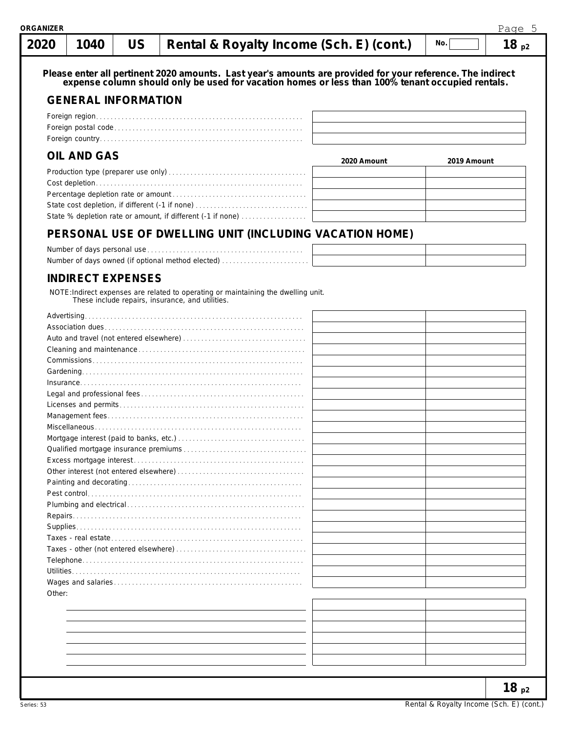| RGANIZER |  |                                                               |                                                       | Page      |
|----------|--|---------------------------------------------------------------|-------------------------------------------------------|-----------|
|          |  | $2020$   1040   US   Rental & Royalty Income (Sch. E) (cont.) | $\overline{\phantom{a}}$ No. $\overline{\phantom{a}}$ | $18_{p2}$ |

### **GENERAL INFORMATION**

## **OIL AND GAS**

| $V = I V V V V V V V V$                                     | 2020 Amount | 2019 Amount |
|-------------------------------------------------------------|-------------|-------------|
|                                                             |             |             |
|                                                             |             |             |
|                                                             |             |             |
|                                                             |             |             |
| State % depletion rate or amount, if different (-1 if none) |             |             |

### **PERSONAL USE OF DWELLING UNIT (INCLUDING VACATION HOME)**

| Number of days owned (if optional method elected) |  |
|---------------------------------------------------|--|

### **INDIRECT EXPENSES**

NOTE:Indirect expenses are related to operating or maintaining the dwelling unit. These include repairs, insurance, and utilities.

| Other: |  |
|--------|--|
|        |  |
|        |  |
|        |  |
|        |  |
|        |  |
|        |  |
|        |  |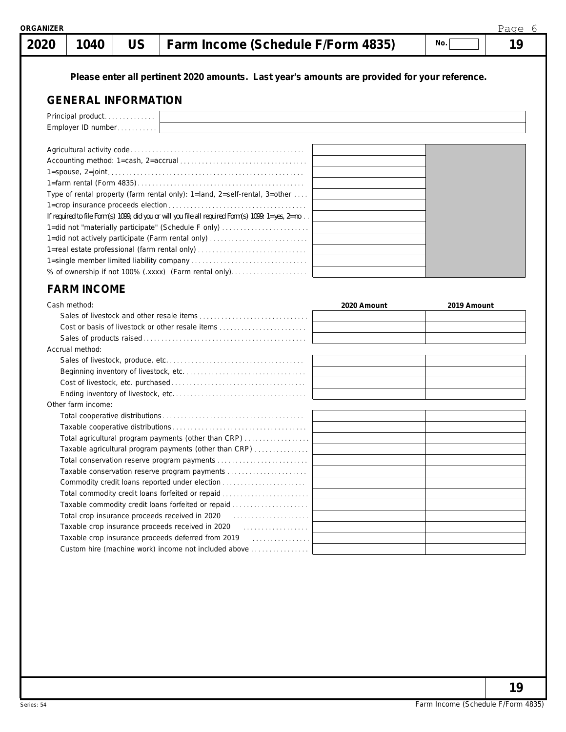|  |  | ORGANIZER |  |
|--|--|-----------|--|
|  |  |           |  |

 **2020**

# **1040 US Farm Income (Schedule F/Form 4835) 19**

**No.**

**Please enter all pertinent 2020 amounts. Last year's amounts are provided for your reference.**

### **GENERAL INFORMATION**

| Principal product                                                                                            |  |  |  |  |  |  |  |  |  |
|--------------------------------------------------------------------------------------------------------------|--|--|--|--|--|--|--|--|--|
| Employer ID number                                                                                           |  |  |  |  |  |  |  |  |  |
|                                                                                                              |  |  |  |  |  |  |  |  |  |
|                                                                                                              |  |  |  |  |  |  |  |  |  |
|                                                                                                              |  |  |  |  |  |  |  |  |  |
|                                                                                                              |  |  |  |  |  |  |  |  |  |
|                                                                                                              |  |  |  |  |  |  |  |  |  |
| Type of rental property (farm rental only): $1$ =land, $2$ =self-rental, $3$ =other                          |  |  |  |  |  |  |  |  |  |
|                                                                                                              |  |  |  |  |  |  |  |  |  |
| If required to file Form(s) 1099, did you or will you file all required Form(s) 1099: $1 = yes$ , $2 = no$ . |  |  |  |  |  |  |  |  |  |
| 1=did not "materially participate" (Schedule F only)                                                         |  |  |  |  |  |  |  |  |  |
| 1=did not actively participate (Farm rental only)                                                            |  |  |  |  |  |  |  |  |  |
| 1=real estate professional (farm rental only)                                                                |  |  |  |  |  |  |  |  |  |
|                                                                                                              |  |  |  |  |  |  |  |  |  |
| % of ownership if not 100% (.xxxx) (Farm rental only)                                                        |  |  |  |  |  |  |  |  |  |

### **FARM INCOME**

| Cash method:                                                                                                                    | 2020 Amount | 2019 Amount |
|---------------------------------------------------------------------------------------------------------------------------------|-------------|-------------|
|                                                                                                                                 |             |             |
| Cost or basis of livestock or other resale items                                                                                |             |             |
|                                                                                                                                 |             |             |
| Accrual method:                                                                                                                 |             |             |
|                                                                                                                                 |             |             |
|                                                                                                                                 |             |             |
|                                                                                                                                 |             |             |
|                                                                                                                                 |             |             |
| Other farm income:                                                                                                              |             |             |
|                                                                                                                                 |             |             |
|                                                                                                                                 |             |             |
| Total agricultural program payments (other than CRP)                                                                            |             |             |
| Taxable agricultural program payments (other than CRP)                                                                          |             |             |
|                                                                                                                                 |             |             |
| Taxable conservation reserve program payments                                                                                   |             |             |
|                                                                                                                                 |             |             |
| Total commodity credit loans forfeited or repaid                                                                                |             |             |
| Taxable commodity credit loans forfeited or repaid                                                                              |             |             |
| Total crop insurance proceeds received in 2020 [10] [10] [10] Total crop insurance proceeds received in 2020 [10] $\frac{1}{2}$ |             |             |
| Taxable crop insurance proceeds received in 2020 [11] [12] Taxable crop insurance proceeds received in 2020 [12] $\frac{1}{2}$  |             |             |
|                                                                                                                                 |             |             |
| Custom hire (machine work) income not included above                                                                            |             |             |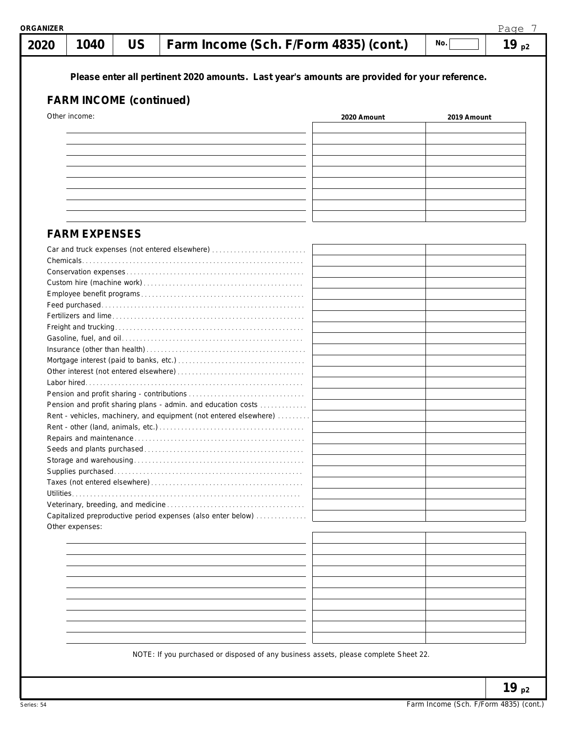| 1040<br>2020                   | <b>US</b> | Farm Income (Sch. F/Form 4835) (cont.)                                                        |             | No.         | 19 $p2$ |
|--------------------------------|-----------|-----------------------------------------------------------------------------------------------|-------------|-------------|---------|
|                                |           | Please enter all pertinent 2020 amounts. Last year's amounts are provided for your reference. |             |             |         |
| <b>FARM INCOME (continued)</b> |           |                                                                                               |             |             |         |
| Other income:                  |           |                                                                                               | 2020 Amount | 2019 Amount |         |
|                                |           |                                                                                               |             |             |         |
|                                |           |                                                                                               |             |             |         |
|                                |           |                                                                                               |             |             |         |
|                                |           |                                                                                               |             |             |         |
|                                |           |                                                                                               |             |             |         |
|                                |           |                                                                                               |             |             |         |
|                                |           |                                                                                               |             |             |         |
|                                |           |                                                                                               |             |             |         |
| <b>FARM EXPENSES</b>           |           |                                                                                               |             |             |         |
|                                |           | Car and truck expenses (not entered elsewhere)                                                |             |             |         |
|                                |           |                                                                                               |             |             |         |
|                                |           |                                                                                               |             |             |         |
|                                |           |                                                                                               |             |             |         |
|                                |           |                                                                                               |             |             |         |
|                                |           |                                                                                               |             |             |         |
|                                |           |                                                                                               |             |             |         |
|                                |           |                                                                                               |             |             |         |
|                                |           |                                                                                               |             |             |         |
|                                |           |                                                                                               |             |             |         |
|                                |           |                                                                                               |             |             |         |
|                                |           |                                                                                               |             |             |         |
|                                |           |                                                                                               |             |             |         |
|                                |           | Pension and profit sharing plans - admin. and education costs                                 |             |             |         |
|                                |           | Rent - vehicles, machinery, and equipment (not entered elsewhere)                             |             |             |         |
|                                |           |                                                                                               |             |             |         |
|                                |           |                                                                                               |             |             |         |
|                                |           |                                                                                               |             |             |         |
|                                |           |                                                                                               |             |             |         |
|                                |           |                                                                                               |             |             |         |
|                                |           |                                                                                               |             |             |         |
|                                |           |                                                                                               |             |             |         |
|                                |           | Capitalized preproductive period expenses (also enter below)                                  |             |             |         |
| Other expenses:                |           |                                                                                               |             |             |         |
|                                |           |                                                                                               |             |             |         |
|                                |           |                                                                                               |             |             |         |
|                                |           |                                                                                               |             |             |         |
|                                |           |                                                                                               |             |             |         |
|                                |           |                                                                                               |             |             |         |
|                                |           |                                                                                               |             |             |         |
|                                |           |                                                                                               |             |             |         |
|                                |           |                                                                                               |             |             |         |
|                                |           |                                                                                               |             |             |         |
|                                |           |                                                                                               |             |             |         |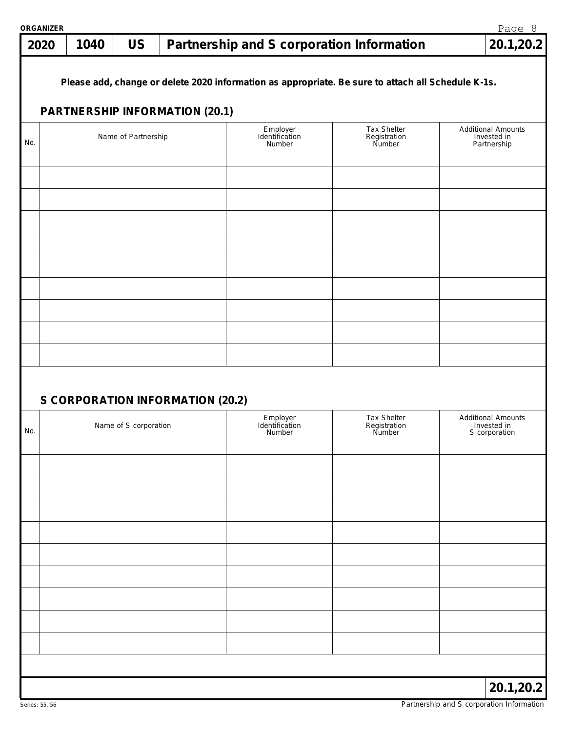| <b>ORGANIZER</b> |      |                       |                                       |                                      |                                                                                                    | Page 8                                                    |
|------------------|------|-----------------------|---------------------------------------|--------------------------------------|----------------------------------------------------------------------------------------------------|-----------------------------------------------------------|
| 2020             | 1040 | <b>US</b>             |                                       |                                      | Partnership and S corporation Information                                                          | 20.1, 20.2                                                |
|                  |      |                       | <b>PARTNERSHIP INFORMATION (20.1)</b> |                                      | Please add, change or delete 2020 information as appropriate. Be sure to attach all Schedule K-1s. |                                                           |
|                  |      |                       |                                       | Employer                             | Tax Shelter                                                                                        | <b>Additional Amounts</b>                                 |
| No.              |      | Name of Partnership   |                                       | Identification<br>Number             | Registration<br>Number                                                                             | Invested in<br>Partnership                                |
|                  |      |                       |                                       |                                      |                                                                                                    |                                                           |
|                  |      |                       |                                       |                                      |                                                                                                    |                                                           |
|                  |      |                       |                                       |                                      |                                                                                                    |                                                           |
|                  |      |                       |                                       |                                      |                                                                                                    |                                                           |
|                  |      |                       |                                       |                                      |                                                                                                    |                                                           |
|                  |      |                       |                                       |                                      |                                                                                                    |                                                           |
|                  |      |                       |                                       |                                      |                                                                                                    |                                                           |
|                  |      |                       | S CORPORATION INFORMATION (20.2)      |                                      |                                                                                                    |                                                           |
| No.              |      | Name of S corporation |                                       | Employer<br>Identification<br>Number | Tax Shelter<br>Registration<br>Number                                                              | <b>Additional Amounts</b><br>Invested in<br>S corporation |
|                  |      |                       |                                       |                                      |                                                                                                    |                                                           |
|                  |      |                       |                                       |                                      |                                                                                                    |                                                           |
|                  |      |                       |                                       |                                      |                                                                                                    |                                                           |
|                  |      |                       |                                       |                                      |                                                                                                    |                                                           |
|                  |      |                       |                                       |                                      |                                                                                                    |                                                           |
|                  |      |                       |                                       |                                      |                                                                                                    |                                                           |
|                  |      |                       |                                       |                                      |                                                                                                    |                                                           |
|                  |      |                       |                                       |                                      |                                                                                                    |                                                           |
|                  |      |                       |                                       |                                      |                                                                                                    |                                                           |
|                  |      |                       |                                       |                                      |                                                                                                    | 20.1, 20.2                                                |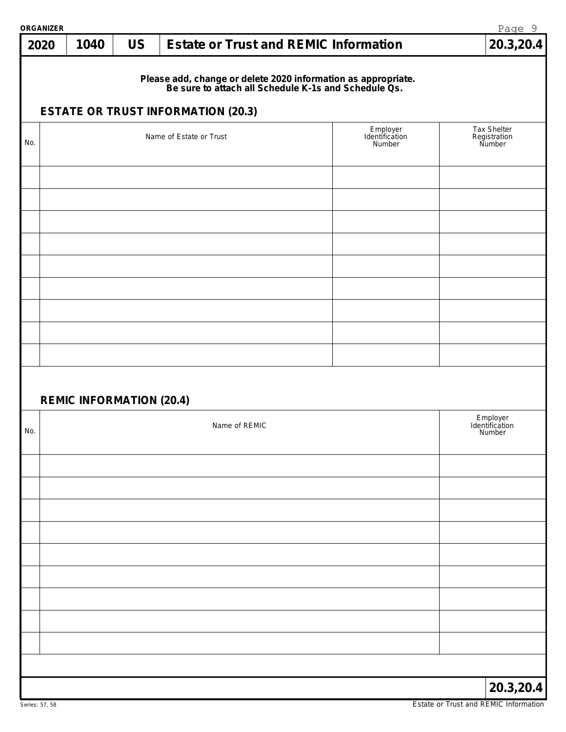| <b>ORGANIZER</b> |                                 |           |                                                                                                                                                                    |                                      | Page 9                               |
|------------------|---------------------------------|-----------|--------------------------------------------------------------------------------------------------------------------------------------------------------------------|--------------------------------------|--------------------------------------|
| 2020             | 1040                            | <b>US</b> | <b>Estate or Trust and REMIC Information</b>                                                                                                                       |                                      | 20.3,20.4                            |
|                  |                                 |           | Please add, change or delete 2020 information as appropriate.<br>Be sure to attach all Schedule K-1s and Schedule Qs.<br><b>ESTATE OR TRUST INFORMATION (20.3)</b> |                                      |                                      |
|                  |                                 |           |                                                                                                                                                                    |                                      | Tax Shelter                          |
| No.              |                                 |           | Name of Estate or Trust                                                                                                                                            | Employer<br>Identification<br>Number | Registration<br>Number               |
|                  |                                 |           |                                                                                                                                                                    |                                      |                                      |
|                  |                                 |           |                                                                                                                                                                    |                                      |                                      |
|                  |                                 |           |                                                                                                                                                                    |                                      |                                      |
|                  |                                 |           |                                                                                                                                                                    |                                      |                                      |
|                  | <b>REMIC INFORMATION (20.4)</b> |           |                                                                                                                                                                    |                                      |                                      |
| No.              |                                 |           | Name of REMIC                                                                                                                                                      |                                      | Employer<br>Identification<br>Number |
|                  |                                 |           |                                                                                                                                                                    |                                      |                                      |
|                  |                                 |           |                                                                                                                                                                    |                                      |                                      |
|                  |                                 |           |                                                                                                                                                                    |                                      |                                      |
|                  |                                 |           |                                                                                                                                                                    |                                      |                                      |
|                  |                                 |           |                                                                                                                                                                    |                                      |                                      |
|                  |                                 |           |                                                                                                                                                                    |                                      |                                      |
|                  |                                 |           |                                                                                                                                                                    |                                      |                                      |
|                  |                                 |           |                                                                                                                                                                    |                                      | 20.3, 20.4                           |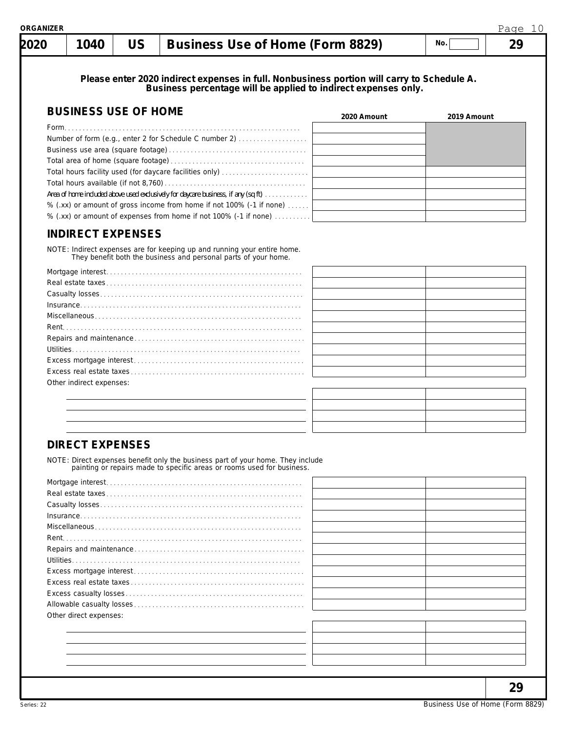| 2020 | 1040                        | <b>US</b> | <b>Business Use of Home (Form 8829)</b>                                                                                                                      |             | No.         | 29 |
|------|-----------------------------|-----------|--------------------------------------------------------------------------------------------------------------------------------------------------------------|-------------|-------------|----|
|      |                             |           | Please enter 2020 indirect expenses in full. Nonbusiness portion will carry to Schedule A.<br>Business percentage will be applied to indirect expenses only. |             |             |    |
|      | <b>BUSINESS USE OF HOME</b> |           |                                                                                                                                                              | 2020 Amount | 2019 Amount |    |
|      |                             |           |                                                                                                                                                              |             |             |    |
|      |                             |           | Number of form (e.g., enter 2 for Schedule C number 2)                                                                                                       |             |             |    |
|      |                             |           |                                                                                                                                                              |             |             |    |
|      |                             |           |                                                                                                                                                              |             |             |    |
|      |                             |           | Total hours facility used (for daycare facilities only)                                                                                                      |             |             |    |
|      |                             |           |                                                                                                                                                              |             |             |    |
|      |                             |           | Area of home included above used exclusively for daycare business, if any (sq ft)                                                                            |             |             |    |
|      |                             |           | % (.xx) or amount of gross income from home if not 100% (-1 if none)                                                                                         |             |             |    |
|      |                             |           | % (.xx) or amount of expenses from home if not 100% (-1 if none)                                                                                             |             |             |    |
|      |                             |           | NOTE: Indirect expenses are for keeping up and running your entire home.<br>They benefit both the business and personal parts of your home.                  |             |             |    |
|      | Other indirect expenses:    |           |                                                                                                                                                              |             |             |    |
|      |                             |           |                                                                                                                                                              |             |             |    |
|      |                             |           |                                                                                                                                                              |             |             |    |
|      |                             |           |                                                                                                                                                              |             |             |    |
|      |                             |           |                                                                                                                                                              |             |             |    |

|                                                                        |  |  |  |  |  | NOTE: Direct expenses benefit only the business part of your home. They include |
|------------------------------------------------------------------------|--|--|--|--|--|---------------------------------------------------------------------------------|
| painting or repairs made to specific areas or rooms used for business. |  |  |  |  |  |                                                                                 |

| Other direct expenses: |  |
|------------------------|--|
|                        |  |
|                        |  |
|                        |  |

**29**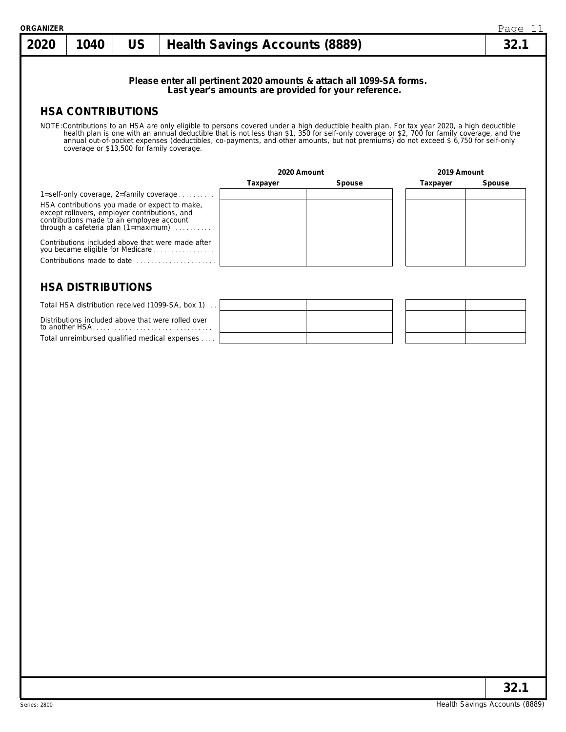| <b>ORGANIZER</b> |                          |                                                                                                                                             |                                                                                                                                                                                   |                                       |                                                                                                                             |                                                                                                                                                                                                                                                                                                                                                                                                                                   | Page 11 |  |  |
|------------------|--------------------------|---------------------------------------------------------------------------------------------------------------------------------------------|-----------------------------------------------------------------------------------------------------------------------------------------------------------------------------------|---------------------------------------|-----------------------------------------------------------------------------------------------------------------------------|-----------------------------------------------------------------------------------------------------------------------------------------------------------------------------------------------------------------------------------------------------------------------------------------------------------------------------------------------------------------------------------------------------------------------------------|---------|--|--|
| 2020             | 1040                     | <b>US</b>                                                                                                                                   |                                                                                                                                                                                   | <b>Health Savings Accounts (8889)</b> |                                                                                                                             |                                                                                                                                                                                                                                                                                                                                                                                                                                   |         |  |  |
|                  |                          |                                                                                                                                             |                                                                                                                                                                                   |                                       | Please enter all pertinent 2020 amounts & attach all 1099-SA forms.<br>Last year's amounts are provided for your reference. |                                                                                                                                                                                                                                                                                                                                                                                                                                   |         |  |  |
|                  |                          | <b>HSA CONTRIBUTIONS</b>                                                                                                                    |                                                                                                                                                                                   |                                       |                                                                                                                             |                                                                                                                                                                                                                                                                                                                                                                                                                                   |         |  |  |
|                  |                          | coverage or \$13,500 for family coverage.                                                                                                   |                                                                                                                                                                                   |                                       |                                                                                                                             | NOTE: Contributions to an HSA are only eligible to persons covered under a high deductible health plan. For tax year 2020, a high deductible<br>health plan is one with an annual deductible that is not less than \$1, 350 for self-only coverage or \$2, 700 for family coverage, and the<br>annual out-of-pocket expenses (deductibles, co-payments, and other amounts, but not premiums) do not exceed \$ 6,750 for self-only |         |  |  |
|                  |                          |                                                                                                                                             |                                                                                                                                                                                   | 2020 Amount                           |                                                                                                                             | 2019 Amount                                                                                                                                                                                                                                                                                                                                                                                                                       |         |  |  |
|                  | <b>HSA DISTRIBUTIONS</b> | HSA contributions you made or expect to make,<br>except rollovers, employer contributions, and<br>contributions made to an employee account | 1=self-only coverage, 2=family coverage $\ldots$<br>through a cafeteria plan (1=maximum)<br>Contributions included above that were made after<br>you became eligible for Medicare | Taxpayer                              | Spouse                                                                                                                      | Taxpayer                                                                                                                                                                                                                                                                                                                                                                                                                          | Spouse  |  |  |
|                  |                          |                                                                                                                                             | Total HSA distribution received (1099-SA, box 1)                                                                                                                                  |                                       |                                                                                                                             |                                                                                                                                                                                                                                                                                                                                                                                                                                   |         |  |  |
|                  | to another HSA           |                                                                                                                                             | Distributions included above that were rolled over<br>Total unreimbursed qualified medical expenses                                                                               |                                       |                                                                                                                             |                                                                                                                                                                                                                                                                                                                                                                                                                                   |         |  |  |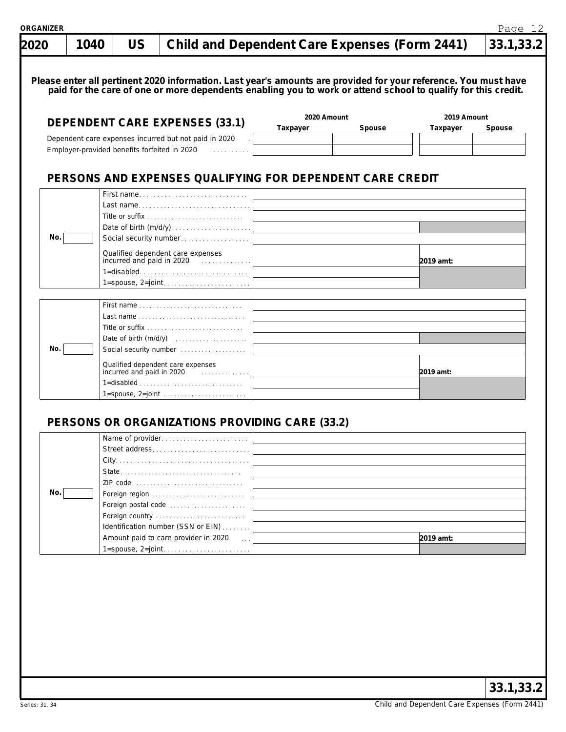| 2020 | 1040 | <b>US</b>                                    | <b>Child and Dependent Care Expenses (Form 2441)</b>                                                                                                                                                                             | 33.1,33.2                         |
|------|------|----------------------------------------------|----------------------------------------------------------------------------------------------------------------------------------------------------------------------------------------------------------------------------------|-----------------------------------|
|      |      |                                              | Please enter all pertinent 2020 information. Last year's amounts are provided for your reference. You must have<br>paid for the care of one or more dependents enabling you to work or attend school to qualify for this credit. |                                   |
|      |      |                                              | 2020 Amount<br><b>DEPENDENT CARE EXPENSES (33.1)</b><br>Taxpayer<br>Spouse                                                                                                                                                       | 2019 Amount<br>Taxpayer<br>Spouse |
|      |      | Employer-provided benefits forfeited in 2020 | Dependent care expenses incurred but not paid in 2020<br>in a straight and a straight                                                                                                                                            |                                   |
|      |      |                                              | PERSONS AND EXPENSES QUALIFYING FOR DEPENDENT CARE CREDIT                                                                                                                                                                        |                                   |
| No.  |      |                                              | First name<br>Last name<br>Social security number                                                                                                                                                                                |                                   |
|      |      |                                              | Qualified dependent care expenses<br>incurred and paid in 2020<br>$1 =$ disabled                                                                                                                                                 | 2019 amt:                         |
| No.  |      |                                              | Social security number                                                                                                                                                                                                           |                                   |
|      |      |                                              | Qualified dependent care expenses<br>incurred and paid in 2020<br>$1 =$ spouse, $2 =$ joint $\ldots \ldots \ldots \ldots \ldots \ldots \ldots$                                                                                   | 2019 amt:                         |
|      |      |                                              | PERSONS OR ORGANIZATIONS PROVIDING CARE (33.2)                                                                                                                                                                                   |                                   |
|      |      |                                              | Name of provider<br>Street address                                                                                                                                                                                               |                                   |
| No.  |      |                                              | Foreign region<br>Foreign postal code<br>Foreign country<br>Identification number (SSN or EIN)                                                                                                                                   |                                   |
|      |      |                                              | Amount paid to care provider in 2020<br>$\sim 100$                                                                                                                                                                               | 2019 amt:                         |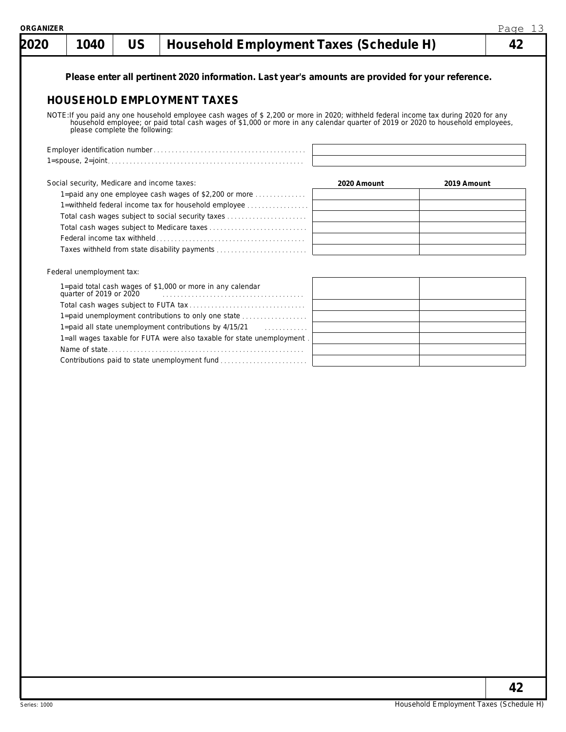| 2020 | 1040                                        | <b>US</b>                      | Household Employment Taxes (Schedule H)                                                                                                                                                                                                                                 |             |             | 42 |
|------|---------------------------------------------|--------------------------------|-------------------------------------------------------------------------------------------------------------------------------------------------------------------------------------------------------------------------------------------------------------------------|-------------|-------------|----|
|      |                                             |                                |                                                                                                                                                                                                                                                                         |             |             |    |
|      |                                             |                                | Please enter all pertinent 2020 information. Last year's amounts are provided for your reference.                                                                                                                                                                       |             |             |    |
|      |                                             |                                | <b>HOUSEHOLD EMPLOYMENT TAXES</b>                                                                                                                                                                                                                                       |             |             |    |
|      |                                             | please complete the following: | NOTE: If you paid any one household employee cash wages of \$ 2,200 or more in 2020; withheld federal income tax during 2020 for any<br>household employee; or paid total cash wages of \$1,000 or more in any calendar quarter of 2019 or 2020 to household employees, |             |             |    |
|      |                                             |                                |                                                                                                                                                                                                                                                                         |             |             |    |
|      |                                             |                                |                                                                                                                                                                                                                                                                         |             |             |    |
|      |                                             |                                |                                                                                                                                                                                                                                                                         |             |             |    |
|      | Social security, Medicare and income taxes: |                                |                                                                                                                                                                                                                                                                         | 2020 Amount | 2019 Amount |    |
|      |                                             |                                | 1=paid any one employee cash wages of \$2,200 or more $\ldots$                                                                                                                                                                                                          |             |             |    |
|      |                                             |                                | 1=withheld federal income tax for household employee                                                                                                                                                                                                                    |             |             |    |
|      |                                             |                                | Total cash wages subject to social security taxes                                                                                                                                                                                                                       |             |             |    |
|      |                                             |                                |                                                                                                                                                                                                                                                                         |             |             |    |
|      |                                             |                                | Taxes withheld from state disability payments                                                                                                                                                                                                                           |             |             |    |
|      | Federal unemployment tax:                   |                                |                                                                                                                                                                                                                                                                         |             |             |    |
|      | quarter of 2019 or 2020                     |                                | 1=paid total cash wages of \$1,000 or more in any calendar                                                                                                                                                                                                              |             |             |    |
|      |                                             |                                |                                                                                                                                                                                                                                                                         |             |             |    |
|      |                                             |                                | 1=paid unemployment contributions to only one state                                                                                                                                                                                                                     |             |             |    |
|      |                                             |                                | 1=paid all state unemployment contributions by 4/15/21                                                                                                                                                                                                                  |             |             |    |
|      |                                             |                                | 1=all wages taxable for FUTA were also taxable for state unemployment                                                                                                                                                                                                   |             |             |    |
|      |                                             |                                |                                                                                                                                                                                                                                                                         |             |             |    |
|      |                                             |                                | Contributions paid to state unemployment fund                                                                                                                                                                                                                           |             |             |    |
|      |                                             |                                |                                                                                                                                                                                                                                                                         |             |             |    |
|      |                                             |                                |                                                                                                                                                                                                                                                                         |             |             |    |
|      |                                             |                                |                                                                                                                                                                                                                                                                         |             |             |    |
|      |                                             |                                |                                                                                                                                                                                                                                                                         |             |             |    |
|      |                                             |                                |                                                                                                                                                                                                                                                                         |             |             |    |
|      |                                             |                                |                                                                                                                                                                                                                                                                         |             |             |    |
|      |                                             |                                |                                                                                                                                                                                                                                                                         |             |             |    |
|      |                                             |                                |                                                                                                                                                                                                                                                                         |             |             |    |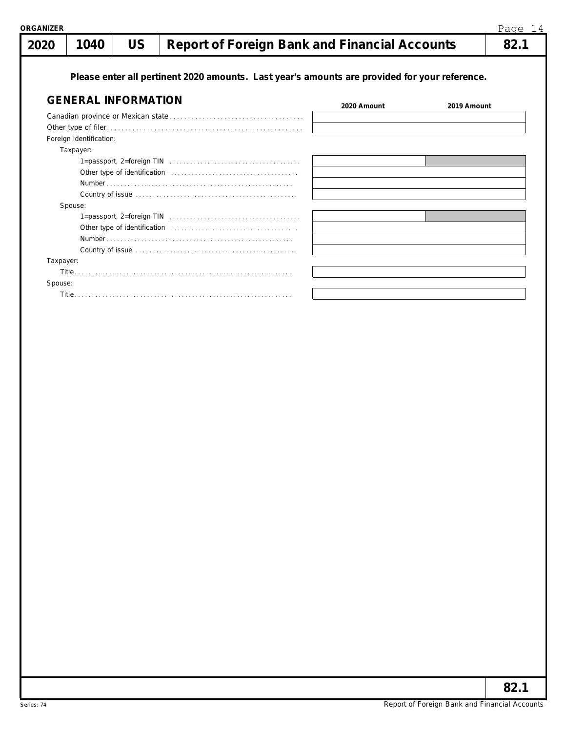| 2020      | 1040                       | <b>US</b> | <b>Report of Foreign Bank and Financial Accounts</b>                                                      |             |             | 82.1 |
|-----------|----------------------------|-----------|-----------------------------------------------------------------------------------------------------------|-------------|-------------|------|
|           |                            |           | Please enter all pertinent 2020 amounts. Last year's amounts are provided for your reference.             |             |             |      |
|           | <b>GENERAL INFORMATION</b> |           |                                                                                                           | 2020 Amount | 2019 Amount |      |
|           |                            |           |                                                                                                           |             |             |      |
|           |                            |           |                                                                                                           |             |             |      |
|           | Foreign identification:    |           |                                                                                                           |             |             |      |
|           | Taxpayer:                  |           |                                                                                                           |             |             |      |
|           |                            |           |                                                                                                           |             |             |      |
|           |                            |           |                                                                                                           |             |             |      |
|           |                            |           |                                                                                                           |             |             |      |
|           |                            |           |                                                                                                           |             |             |      |
|           | Spouse:                    |           |                                                                                                           |             |             |      |
|           |                            |           | $1 =$ passport, $2 =$ foreign TIN $\ldots \ldots \ldots \ldots \ldots \ldots \ldots \ldots \ldots \ldots$ |             |             |      |
|           |                            |           |                                                                                                           |             |             |      |
|           |                            |           |                                                                                                           |             |             |      |
|           |                            |           |                                                                                                           |             |             |      |
| Taxpayer: |                            |           |                                                                                                           |             |             |      |
|           |                            |           |                                                                                                           |             |             |      |
| Spouse:   |                            |           |                                                                                                           |             |             |      |
|           |                            |           |                                                                                                           |             |             |      |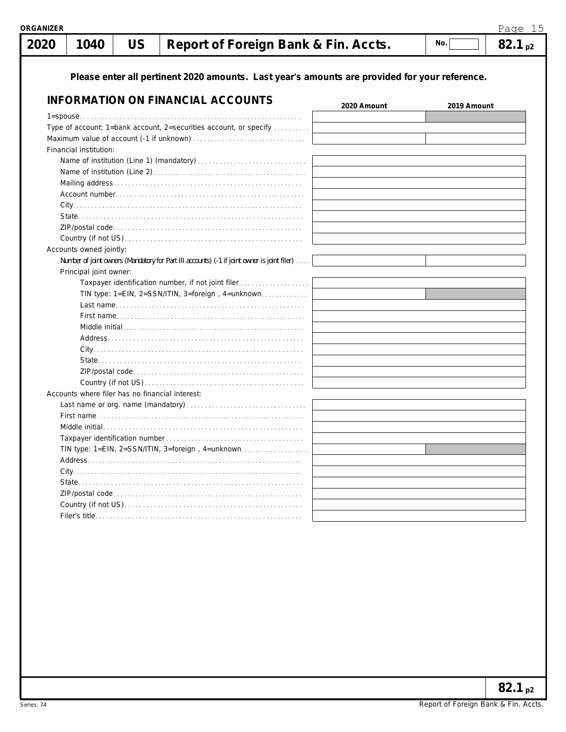| <b>ORGANIZER</b> |                                                 |           |                                                                                               |             |             | Page 15     |
|------------------|-------------------------------------------------|-----------|-----------------------------------------------------------------------------------------------|-------------|-------------|-------------|
| 2020             | 1040                                            | <b>US</b> | Report of Foreign Bank & Fin. Accts.                                                          |             | No.         | $82.1_{p2}$ |
|                  |                                                 |           | Please enter all pertinent 2020 amounts. Last year's amounts are provided for your reference. |             |             |             |
|                  |                                                 |           | <b>INFORMATION ON FINANCIAL ACCOUNTS</b>                                                      | 2020 Amount | 2019 Amount |             |
|                  |                                                 |           |                                                                                               |             |             |             |
|                  |                                                 |           | Type of account: 1=bank account, 2=securities account, or specify                             |             |             |             |
|                  |                                                 |           |                                                                                               |             |             |             |
|                  | Financial institution:                          |           |                                                                                               |             |             |             |
|                  |                                                 |           |                                                                                               |             |             |             |
|                  |                                                 |           |                                                                                               |             |             |             |
|                  |                                                 |           |                                                                                               |             |             |             |
|                  |                                                 |           |                                                                                               |             |             |             |
|                  |                                                 |           |                                                                                               |             |             |             |
|                  |                                                 |           |                                                                                               |             |             |             |
|                  |                                                 |           |                                                                                               |             |             |             |
|                  |                                                 |           |                                                                                               |             |             |             |
|                  | Accounts owned jointly:                         |           |                                                                                               |             |             |             |
|                  |                                                 |           | Number of joint owners (Mandatory for Part III accounts) (-1 if joint owner is joint filer)   |             |             |             |
|                  | Principal joint owner:                          |           |                                                                                               |             |             |             |
|                  |                                                 |           | Taxpayer identification number, if not joint filer                                            |             |             |             |
|                  |                                                 |           | TIN type: 1=EIN, 2=SSN/ITIN, 3=foreign, 4=unknown                                             |             |             |             |
|                  |                                                 |           |                                                                                               |             |             |             |
|                  |                                                 |           |                                                                                               |             |             |             |
|                  |                                                 |           |                                                                                               |             |             |             |
|                  |                                                 |           |                                                                                               |             |             |             |
|                  |                                                 |           |                                                                                               |             |             |             |
|                  |                                                 |           |                                                                                               |             |             |             |
|                  |                                                 |           |                                                                                               |             |             |             |
|                  |                                                 |           |                                                                                               |             |             |             |
|                  | Accounts where filer has no financial interest: |           |                                                                                               |             |             |             |
|                  |                                                 |           |                                                                                               |             |             |             |
|                  |                                                 |           |                                                                                               |             |             |             |
|                  |                                                 |           |                                                                                               |             |             |             |
|                  | Taxpayer identification number                  |           |                                                                                               |             |             |             |
|                  |                                                 |           | TIN type: 1=EIN, 2=SSN/ITIN, 3=foreign, 4=unknown                                             |             |             |             |
|                  |                                                 |           |                                                                                               |             |             |             |
|                  |                                                 |           |                                                                                               |             |             |             |
|                  |                                                 |           |                                                                                               |             |             |             |
|                  |                                                 |           |                                                                                               |             |             |             |
|                  |                                                 |           |                                                                                               |             |             |             |
|                  |                                                 |           |                                                                                               |             |             |             |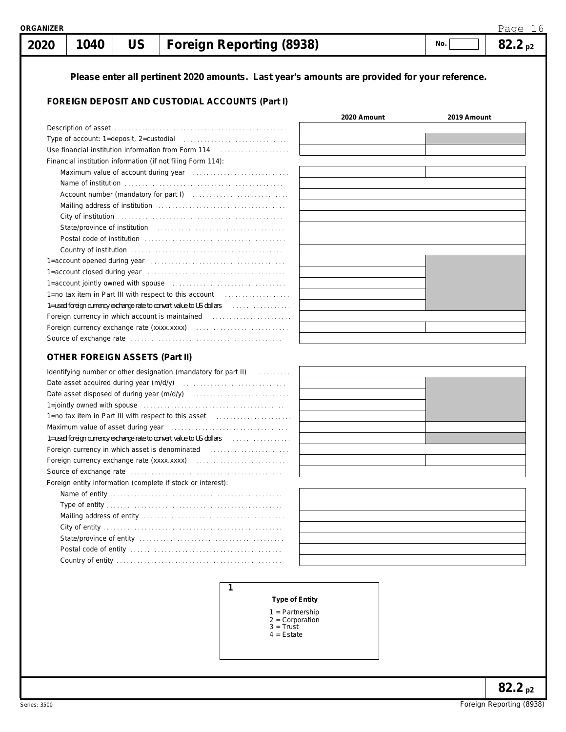#### 1 = Partnership

- 2 = Corporation
- $3 =$  Trust
- 4 = Estate